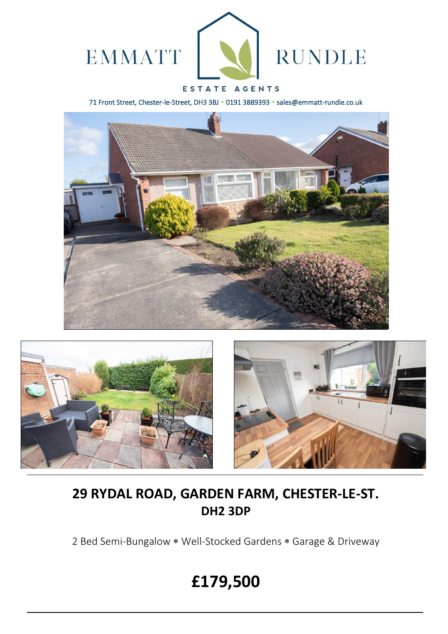

### ESTATE AGENTS

71 Front Street, Chester-le-Street, DH3 3BJ \* 0191 3889393 \* sales@emmatt-rundle.co.uk







## **29 RYDAL ROAD, GARDEN FARM, CHESTER-LE-ST. DH2 3DP**

2 Bed Semi-Bungalow \* Well-Stocked Gardens \* Garage & Driveway

# **£179,500**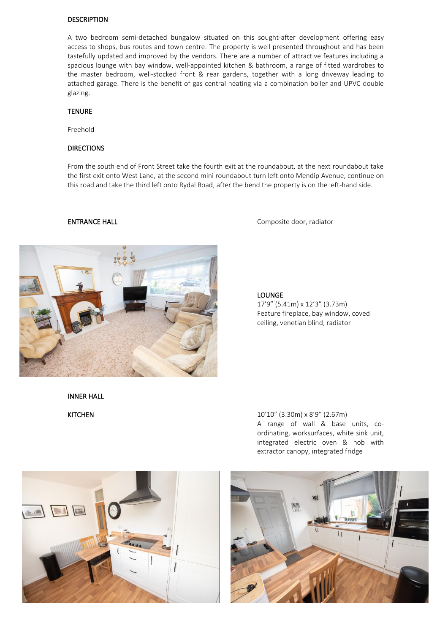#### **DESCRIPTION**

A two bedroom semi-detached bungalow situated on this sought-after development offering easy access to shops, bus routes and town centre. The property is well presented throughout and has been tastefully updated and improved by the vendors. There are a number of attractive features including a spacious lounge with bay window, well-appointed kitchen & bathroom, a range of fitted wardrobes to the master bedroom, well-stocked front & rear gardens, together with a long driveway leading to attached garage. There is the benefit of gas central heating via a combination boiler and UPVC double glazing.

#### TENURE

Freehold

#### DIRECTIONS

From the south end of Front Street take the fourth exit at the roundabout, at the next roundabout take the first exit onto West Lane, at the second mini roundabout turn left onto Mendip Avenue, continue on this road and take the third left onto Rydal Road, after the bend the property is on the left-hand side.

ENTRANCE HALL Composite door, radiator



LOUNGE

17'9" (5.41m) x 12'3" (3.73m) Feature fireplace, bay window, coved ceiling, venetian blind, radiator

INNER HALL





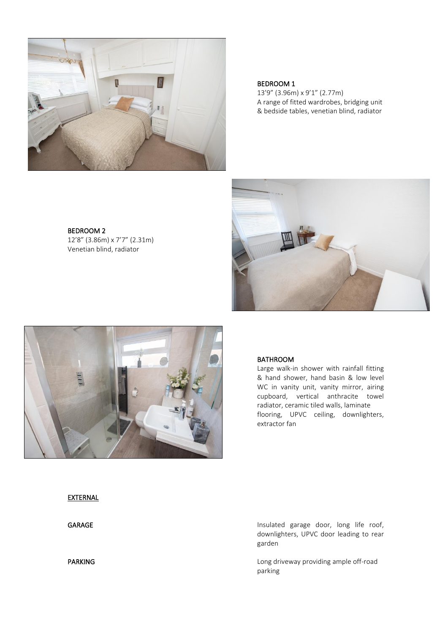

#### BEDROOM 1

13'9" (3.96m) x 9'1" (2.77m) A range of fitted wardrobes, bridging unit & bedside tables, venetian blind, radiator







#### BATHROOM

Large walk-in shower with rainfall fitting & hand shower, hand basin & low level WC in vanity unit, vanity mirror, airing cupboard, vertical anthracite towel radiator, ceramic tiled walls, laminate flooring, UPVC ceiling, downlighters, extractor fan

#### **EXTERNAL**

GARAGE GARAGE **Insulated** garage door, long life roof, downlighters, UPVC door leading to rear garden

PARKING **PARKING Long driveway providing ample off-road** parking